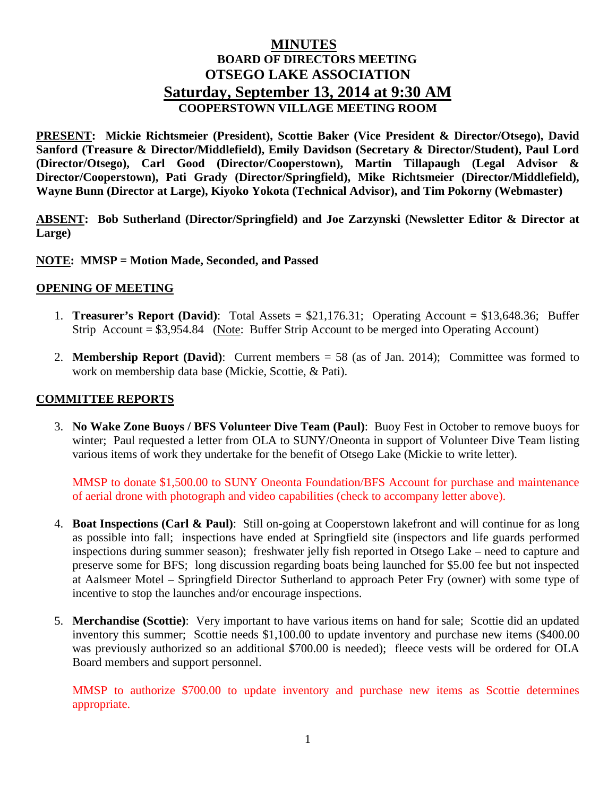# **MINUTES BOARD OF DIRECTORS MEETING OTSEGO LAKE ASSOCIATION Saturday, September 13, 2014 at 9:30 AM COOPERSTOWN VILLAGE MEETING ROOM**

**PRESENT: Mickie Richtsmeier (President), Scottie Baker (Vice President & Director/Otsego), David Sanford (Treasure & Director/Middlefield), Emily Davidson (Secretary & Director/Student), Paul Lord (Director/Otsego), Carl Good (Director/Cooperstown), Martin Tillapaugh (Legal Advisor & Director/Cooperstown), Pati Grady (Director/Springfield), Mike Richtsmeier (Director/Middlefield), Wayne Bunn (Director at Large), Kiyoko Yokota (Technical Advisor), and Tim Pokorny (Webmaster)**

**ABSENT: Bob Sutherland (Director/Springfield) and Joe Zarzynski (Newsletter Editor & Director at Large)**

### **NOTE: MMSP = Motion Made, Seconded, and Passed**

#### **OPENING OF MEETING**

- 1. **Treasurer's Report (David)**: Total Assets = \$21,176.31; Operating Account = \$13,648.36; Buffer Strip Account = \$3,954.84 (Note: Buffer Strip Account to be merged into Operating Account)
- 2. **Membership Report (David)**: Current members = 58 (as of Jan. 2014); Committee was formed to work on membership data base (Mickie, Scottie, & Pati).

#### **COMMITTEE REPORTS**

3. **No Wake Zone Buoys / BFS Volunteer Dive Team (Paul)**: Buoy Fest in October to remove buoys for winter; Paul requested a letter from OLA to SUNY/Oneonta in support of Volunteer Dive Team listing various items of work they undertake for the benefit of Otsego Lake (Mickie to write letter).

MMSP to donate \$1,500.00 to SUNY Oneonta Foundation/BFS Account for purchase and maintenance of aerial drone with photograph and video capabilities (check to accompany letter above).

- 4. **Boat Inspections (Carl & Paul)**: Still on-going at Cooperstown lakefront and will continue for as long as possible into fall; inspections have ended at Springfield site (inspectors and life guards performed inspections during summer season); freshwater jelly fish reported in Otsego Lake – need to capture and preserve some for BFS; long discussion regarding boats being launched for \$5.00 fee but not inspected at Aalsmeer Motel – Springfield Director Sutherland to approach Peter Fry (owner) with some type of incentive to stop the launches and/or encourage inspections.
- 5. **Merchandise (Scottie)**: Very important to have various items on hand for sale; Scottie did an updated inventory this summer; Scottie needs \$1,100.00 to update inventory and purchase new items (\$400.00 was previously authorized so an additional \$700.00 is needed); fleece vests will be ordered for OLA Board members and support personnel.

MMSP to authorize \$700.00 to update inventory and purchase new items as Scottie determines appropriate.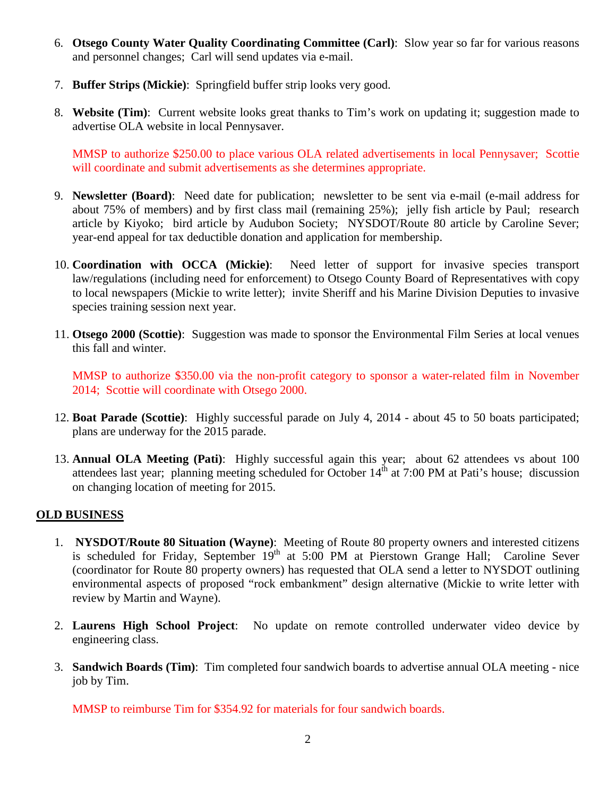- 6. **Otsego County Water Quality Coordinating Committee (Carl)**: Slow year so far for various reasons and personnel changes; Carl will send updates via e-mail.
- 7. **Buffer Strips (Mickie)**: Springfield buffer strip looks very good.
- 8. **Website (Tim)**: Current website looks great thanks to Tim's work on updating it; suggestion made to advertise OLA website in local Pennysaver.

MMSP to authorize \$250.00 to place various OLA related advertisements in local Pennysaver; Scottie will coordinate and submit advertisements as she determines appropriate.

- 9. **Newsletter (Board)**: Need date for publication; newsletter to be sent via e-mail (e-mail address for about 75% of members) and by first class mail (remaining 25%); jelly fish article by Paul; research article by Kiyoko; bird article by Audubon Society; NYSDOT/Route 80 article by Caroline Sever; year-end appeal for tax deductible donation and application for membership.
- 10. **Coordination with OCCA (Mickie)**: Need letter of support for invasive species transport law/regulations (including need for enforcement) to Otsego County Board of Representatives with copy to local newspapers (Mickie to write letter); invite Sheriff and his Marine Division Deputies to invasive species training session next year.
- 11. **Otsego 2000 (Scottie)**: Suggestion was made to sponsor the Environmental Film Series at local venues this fall and winter.

MMSP to authorize \$350.00 via the non-profit category to sponsor a water-related film in November 2014; Scottie will coordinate with Otsego 2000.

- 12. **Boat Parade (Scottie)**: Highly successful parade on July 4, 2014 about 45 to 50 boats participated; plans are underway for the 2015 parade.
- 13. **Annual OLA Meeting (Pati)**: Highly successful again this year; about 62 attendees vs about 100 attendees last year; planning meeting scheduled for October  $14^{\text{th}}$  at 7:00 PM at Pati's house; discussion on changing location of meeting for 2015.

# **OLD BUSINESS**

- 1. **NYSDOT/Route 80 Situation (Wayne)**: Meeting of Route 80 property owners and interested citizens is scheduled for Friday, September  $19<sup>th</sup>$  at  $5:00$  PM at Pierstown Grange Hall; Caroline Sever (coordinator for Route 80 property owners) has requested that OLA send a letter to NYSDOT outlining environmental aspects of proposed "rock embankment" design alternative (Mickie to write letter with review by Martin and Wayne).
- 2. **Laurens High School Project**: No update on remote controlled underwater video device by engineering class.
- 3. **Sandwich Boards (Tim)**: Tim completed four sandwich boards to advertise annual OLA meeting nice job by Tim.

MMSP to reimburse Tim for \$354.92 for materials for four sandwich boards.